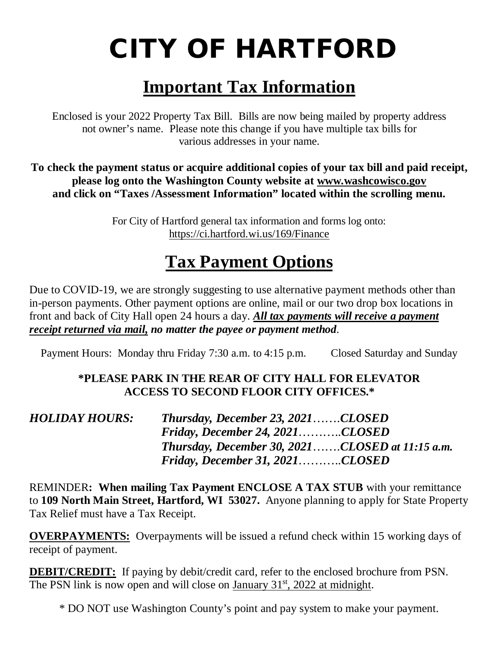# CITY OF HARTFORD

## **Important Tax Information**

Enclosed is your 2022 Property Tax Bill. Bills are now being mailed by property address not owner's name. Please note this change if you have multiple tax bills for various addresses in your name.

**To check the payment status or acquire additional copies of your tax bill and paid receipt, please log onto the Washington County website at www.washcowisco.gov and click on "Taxes /Assessment Information" located within the scrolling menu.**

> For City of Hartford general tax information and forms log onto: <https://ci.hartford.wi.us/169/Finance>

## **Tax Payment Options**

Due to COVID-19, we are strongly suggesting to use alternative payment methods other than in-person payments. Other payment options are online, mail or our two drop box locations in front and back of City Hall open 24 hours a day. *All tax payments will receive a payment receipt returned via mail, no matter the payee or payment method.*

Payment Hours: Monday thru Friday 7:30 a.m. to 4:15 p.m. Closed Saturday and Sunday

#### **\*PLEASE PARK IN THE REAR OF CITY HALL FOR ELEVATOR ACCESS TO SECOND FLOOR CITY OFFICES.\***

| HOLIDAY HOURS: | Thursday, December 23, 2021CLOSED                  |  |
|----------------|----------------------------------------------------|--|
|                | Friday, December 24, $2021$ CLOSED                 |  |
|                | Thursday, December 30, $2021$ CLOSED at 11:15 a.m. |  |
|                | $Friday, December 31, 2021.$ $CLOSED$              |  |

REMINDER**: When mailing Tax Payment ENCLOSE A TAX STUB** with your remittance to **109 North Main Street, Hartford, WI 53027.** Anyone planning to apply for State Property Tax Relief must have a Tax Receipt.

**OVERPAYMENTS:** Overpayments will be issued a refund check within 15 working days of receipt of payment.

**DEBIT/CREDIT:** If paying by debit/credit card, refer to the enclosed brochure from PSN. The PSN link is now open and will close on January  $31<sup>st</sup>$ , 2022 at midnight.

\* DO NOT use Washington County's point and pay system to make your payment.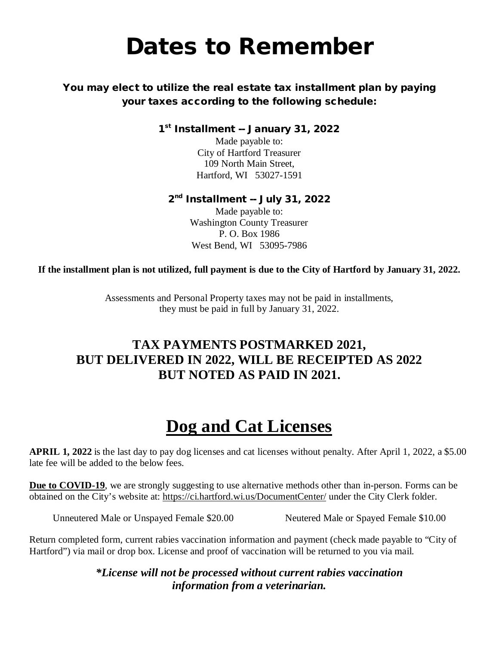## Dates to Remember

#### You may elect to utilize the real estate tax installment plan by paying your taxes according to the following schedule:

1st Installment -- January 31, 2022

Made payable to: City of Hartford Treasurer 109 North Main Street, Hartford, WI 53027-1591

#### 2<sup>nd</sup> Installment -- July 31, 2022

Made payable to: Washington County Treasurer P. O. Box 1986 West Bend, WI 53095-7986

**If the installment plan is not utilized, full payment is due to the City of Hartford by January 31, 2022.**

Assessments and Personal Property taxes may not be paid in installments, they must be paid in full by January 31, 2022.

#### **TAX PAYMENTS POSTMARKED 2021, BUT DELIVERED IN 2022, WILL BE RECEIPTED AS 2022 BUT NOTED AS PAID IN 2021.**

## **Dog and Cat Licenses**

**APRIL 1, 2022** is the last day to pay dog licenses and cat licenses without penalty. After April 1, 2022, a \$5.00 late fee will be added to the below fees.

**Due to COVID-19**, we are strongly suggesting to use alternative methods other than in-person. Forms can be obtained on the City's website at:<https://ci.hartford.wi.us/DocumentCenter/> under the City Clerk folder.

Unneutered Male or Unspayed Female \$20.00 Neutered Male or Spayed Female \$10.00

Return completed form, current rabies vaccination information and payment (check made payable to "City of Hartford") via mail or drop box. License and proof of vaccination will be returned to you via mail.

> *\*License will not be processed without current rabies vaccination information from a veterinarian.*